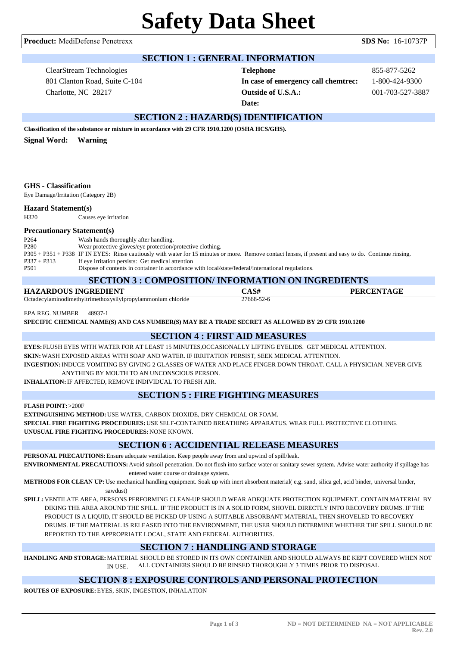**Procduct:** MediDefense Penetrexx **SDS No:** 16-10737P

## **SECTION 1 : GENERAL INFORMATION**

ClearStream Technologies 801 Clanton Road, Suite C-104 Charlotte, NC 28217

**Telephone** 855-877-5262 **In case of emergency call chemtrec:** 1-800-424-9300 **Outside of U.S.A.:** 001-703-527-3887 **Date:**

# **SECTION 2 : HAZARD(S) IDENTIFICATION**

**Classification of the substance or mixture in accordance with 29 CFR 1910.1200 (OSHA HCS/GHS).**

**Signal Word: Warning**

### **GHS - Classification**

Eye Damage/Irritation (Category 2B)

#### **Hazard Statement(s)**

H320 Causes eye irritation

### **Precautionary Statement(s)**

| P <sub>264</sub> | Wash hands thoroughly after handling.                                                                                                                  |
|------------------|--------------------------------------------------------------------------------------------------------------------------------------------------------|
| P <sub>280</sub> | Wear protective gloves/eye protection/protective clothing.                                                                                             |
|                  | P305 + P351 + P338 IF IN EYES: Rinse cautiously with water for 15 minutes or more. Remove contact lenses, if present and easy to do. Continue rinsing. |
| $P337 + P313$    | If eye irritation persists: Get medical attention                                                                                                      |
| P <sub>501</sub> | Dispose of contents in container in accordance with local/state/federal/international regulations.                                                     |

### **SECTION 3 : COMPOSITION/ INFORMATION ON INGREDIENTS**

| <u>BECHON J : COMI OBITION INFORMATION ON INDIVERTIB</u>     |            |                   |  |  |  |
|--------------------------------------------------------------|------------|-------------------|--|--|--|
| HAZARDOUS INGREDIENT                                         | CAS#       | <b>PERCENTAGE</b> |  |  |  |
| Octadecylaminodimethyltrimethoxysilylpropylammonium chloride | 27668-52-6 |                   |  |  |  |

EPA REG. NUMBER 48937-1

**SPECIFIC CHEMICAL NAME(S) AND CAS NUMBER(S) MAY BE A TRADE SECRET AS ALLOWED BY 29 CFR 1910.1200**

## **SECTION 4 : FIRST AID MEASURES**

**EYES:** FLUSH EYES WITH WATER FOR AT LEAST 15 MINUTES,OCCASIONALLY LIFTING EYELIDS. GET MEDICAL ATTENTION. **SKIN:**WASH EXPOSED AREAS WITH SOAP AND WATER. IF IRRITATION PERSIST, SEEK MEDICAL ATTENTION. **INGESTION:**INDUCE VOMITING BY GIVING 2 GLASSES OF WATER AND PLACE FINGER DOWN THROAT. CALL A PHYSICIAN. NEVER GIVE

ANYTHING BY MOUTH TO AN UNCONSCIOUS PERSON.

**INHALATION:**IF AFFECTED, REMOVE INDIVIDUAL TO FRESH AIR.

## **SECTION 5 : FIRE FIGHTING MEASURES**

**FLASH POINT:** >200F

**EXTINGUISHING METHOD:**USE WATER, CARBON DIOXIDE, DRY CHEMICAL OR FOAM.

**SPECIAL FIRE FIGHTING PROCEDURES:**USE SELF-CONTAINED BREATHING APPARATUS. WEAR FULL PROTECTIVE CLOTHING. **UNUSUAL FIRE FIGHTING PROCEDURES:**NONE KNOWN.

# **SECTION 6 : ACCIDENTIAL RELEASE MEASURES**

**PERSONAL PRECAUTIONS:**Ensure adequate ventilation. Keep people away from and upwind of spill/leak.

**ENVIRONMENTAL PRECAUTIONS:**Avoid subsoil penetration. Do not flush into surface water or sanitary sewer system. Advise water authority if spillage has entered water course or drainage system.

**METHODS FOR CLEAN UP:**Use mechanical handling equipment. Soak up with inert absorbent material( e.g. sand, silica gel, acid binder, universal binder,

sawdust)

**SPILL:**VENTILATE AREA, PERSONS PERFORMING CLEAN-UP SHOULD WEAR ADEQUATE PROTECTION EQUIPMENT. CONTAIN MATERIAL BY DIKING THE AREA AROUND THE SPILL. IF THE PRODUCT IS IN A SOLID FORM, SHOVEL DIRECTLY INTO RECOVERY DRUMS. IF THE PRODUCT IS A LIQUID, IT SHOULD BE PICKED UP USING A SUITABLE ABSORBANT MATERIAL, THEN SHOVELED TO RECOVERY DRUMS. IF THE MATERIAL IS RELEASED INTO THE ENVIRONMENT, THE USER SHOULD DETERMINE WHETHER THE SPILL SHOULD BE REPORTED TO THE APPROPRIATE LOCAL, STATE AND FEDERAL AUTHORITIES.

# **SECTION 7 : HANDLING AND STORAGE**

**HANDLING AND STORAGE:**MATERIAL SHOULD BE STORED IN ITS OWN CONTAINER AND SHOULD ALWAYS BE KEPT COVERED WHEN NOT IN USE. ALL CONTAINERS SHOULD BE RINSED THOROUGHLY 3 TIMES PRIOR TO DISPOSAL

## **SECTION 8 : EXPOSURE CONTROLS AND PERSONAL PROTECTION**

**ROUTES OF EXPOSURE:**EYES, SKIN, INGESTION, INHALATION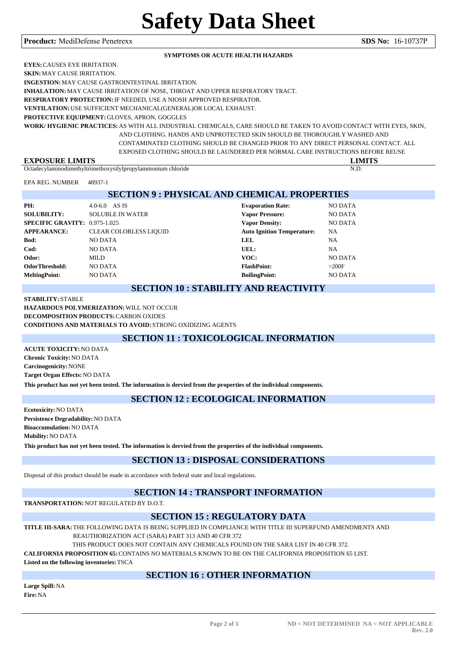#### **Procduct:** MediDefense Penetrexx **SDS No:** 16-10737P

#### **SYMPTOMS OR ACUTE HEALTH HAZARDS**

**EYES:**CAUSES EYE IRRITATION.

**SKIN:**MAY CAUSE IRRITATION.

**INGESTION:**MAY CAUSE GASTROINTESTINAL IRRITATION.

**INHALATION:**MAY CAUSE IRRITATION OF NOSE, THROAT AND UPPER RESPIRATORY TRACT.

**RESPIRATORY PROTECTION:**IF NEEDED, USE A NIOSH APPROVED RESPIRATOR.

**VENTILATION:**USE SUFFICIENT MECHANICAL(GENERAL)OR LOCAL EXHAUST.

**PROTECTIVE EQUIPMENT:**GLOVES, APRON, GOGGLES

**WORK/ HYGIENIC PRACTICES:**AS WITH ALL INDUSTRIAL CHEMICALS, CARE SHOULD BE TAKEN TO AVOID CONTACT WITH EYES, SKIN, AND CLOTHING. HANDS AND UNPROTECTED SKIN SHOULD BE THOROUGHLY WASHED AND CONTAMINATED CLOTHING SHOULD BE CHANGED PRIOR TO ANY DIRECT PERSONAL CONTACT. ALL EXPOSED CLOTHING SHOULD BE LAUNDERED PER NORMAL CARE INSTRUCTIONS BEFORE REUSE

| <b>TAXZI</b><br>н.<br>$\mathbf{w}$<br><br>LAI                            | <b>ATTITLE</b> |
|--------------------------------------------------------------------------|----------------|
| Octade<br>viaminodimethyltrimetho<br>chloride<br>hoxysilvipropylammonium | N.D.           |

EPA REG. NUMBER 48937-1

| <b>SECTION 9: PHYSICAL AND CHEMICAL PROPERTIES</b>     |                               |                                   |                |  |  |
|--------------------------------------------------------|-------------------------------|-----------------------------------|----------------|--|--|
| PH:                                                    | $4.0 - 6.0$ AS IS             | <b>Evaporation Rate:</b>          | <b>NO DATA</b> |  |  |
| <b>SOLUBILITY:</b>                                     | <b>SOLUBLE IN WATER</b>       | <b>Vapor Pressure:</b>            | NO DATA        |  |  |
|                                                        |                               | <b>Vapor Density:</b>             | <b>NO DATA</b> |  |  |
| <b>APPEARANCE:</b>                                     | <b>CLEAR COLORLESS LIQUID</b> | <b>Auto Ignition Temperature:</b> | <b>NA</b>      |  |  |
| Bod:                                                   | NO DATA                       | LEL                               | NA             |  |  |
| Cod:                                                   | NO DATA                       | UEL:                              | NA             |  |  |
| Odor:                                                  | <b>MILD</b>                   | VOC:                              | <b>NO DATA</b> |  |  |
|                                                        | NO DATA                       | <b>FlashPoint:</b>                | >200F          |  |  |
| <b>MeltingPoint:</b>                                   | NO DATA                       | <b>BoilingPoint:</b>              | <b>NO DATA</b> |  |  |
| <b>SPECIFIC GRAVITY: 0.975-1.025</b><br>OdorThreshold: |                               |                                   |                |  |  |

### **SECTION 10 : STABILITY AND REACTIVITY**

#### **STABILITY:** STABLE **HAZARDOUS POLYMERIZATION:**WILL NOT OCCUR **DECOMPOSITION PRODUCTS:**CARBON OXIDES **CONDITIONS AND MATERIALS TO AVOID:** STRONG OXIDIZING AGENTS

## **SECTION 11 : TOXICOLOGICAL INFORMATION**

**ACUTE TOXICITY:**NO DATA **Chronic Toxicity:**NO DATA **Carcinogenicity:**NONE **Target Organ Effects:**NO DATA

**This product has not yet been tested. The information is dervied from the properties of the individual components.**

## **SECTION 12 : ECOLOGICAL INFORMATION**

**Ecotoxicity:**NO DATA **Persistence Degradability:**NO DATA **Bioaccumulation:**NO DATA **Mobility:**NO DATA **This product has not yet been tested. The information is dervied from the properties of the individual components.**

## **SECTION 13 : DISPOSAL CONSIDERATIONS**

Disposal of this product should be made in accordance with federal state and local regulations.

# **SECTION 14 : TRANSPORT INFORMATION**

**TRANSPORTATION:**NOT REGULATED BY D.O.T.

# **SECTION 15 : REGULATORY DATA**

**TITLE III-SARA:**THE FOLLOWING DATA IS BEING SUPPLIED IN COMPLIANCE WITH TITLE III SUPERFUND AMENDMENTS AND

REAUTHORIZATION ACT (SARA) PART 313 AND 40 CFR 372

THIS PRODUCT DOES NOT CONTAIN ANY CHEMICALS FOUND ON THE SARA LIST IN 40 CFR 372.

**CALIFORNIA PROPOSITION 65:**CONTAINS NO MATERIALS KNOWN TO BE ON THE CALIFORNIA PROPOSITION 65 LIST.

**Listed on the following inventories:**TSCA

## **SECTION 16 : OTHER INFORMATION**

**Large Spill:**NA **Fire:**NA